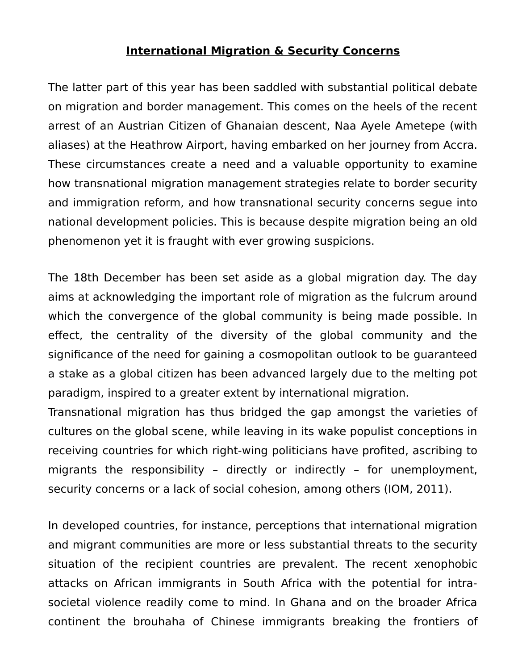## **International Migration & Security Concerns**

The latter part of this year has been saddled with substantial political debate on migration and border management. This comes on the heels of the recent arrest of an Austrian Citizen of Ghanaian descent, Naa Ayele Ametepe (with aliases) at the Heathrow Airport, having embarked on her journey from Accra. These circumstances create a need and a valuable opportunity to examine how transnational migration management strategies relate to border security and immigration reform, and how transnational security concerns segue into national development policies. This is because despite migration being an old phenomenon yet it is fraught with ever growing suspicions.

The 18th December has been set aside as a global migration day. The day aims at acknowledging the important role of migration as the fulcrum around which the convergence of the global community is being made possible. In effect, the centrality of the diversity of the global community and the significance of the need for gaining a cosmopolitan outlook to be guaranteed a stake as a global citizen has been advanced largely due to the melting pot paradigm, inspired to a greater extent by international migration.

Transnational migration has thus bridged the gap amongst the varieties of cultures on the global scene, while leaving in its wake populist conceptions in receiving countries for which right-wing politicians have profited, ascribing to migrants the responsibility – directly or indirectly – for unemployment, security concerns or a lack of social cohesion, among others (IOM, 2011).

In developed countries, for instance, perceptions that international migration and migrant communities are more or less substantial threats to the security situation of the recipient countries are prevalent. The recent xenophobic attacks on African immigrants in South Africa with the potential for intrasocietal violence readily come to mind. In Ghana and on the broader Africa continent the brouhaha of Chinese immigrants breaking the frontiers of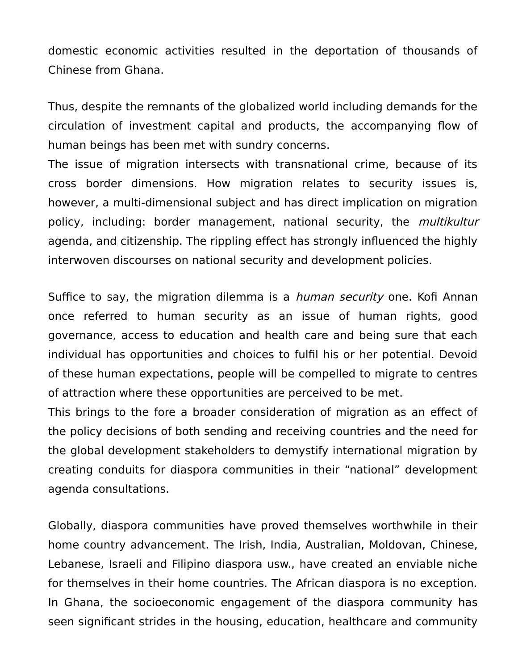domestic economic activities resulted in the deportation of thousands of Chinese from Ghana.

Thus, despite the remnants of the globalized world including demands for the circulation of investment capital and products, the accompanying flow of human beings has been met with sundry concerns.

The issue of migration intersects with transnational crime, because of its cross border dimensions. How migration relates to security issues is, however, a multi-dimensional subject and has direct implication on migration policy, including: border management, national security, the multikultur agenda, and citizenship. The rippling effect has strongly influenced the highly interwoven discourses on national security and development policies.

Suffice to say, the migration dilemma is a *human security* one. Kofi Annan once referred to human security as an issue of human rights, good governance, access to education and health care and being sure that each individual has opportunities and choices to fulfil his or her potential. Devoid of these human expectations, people will be compelled to migrate to centres of attraction where these opportunities are perceived to be met.

This brings to the fore a broader consideration of migration as an effect of the policy decisions of both sending and receiving countries and the need for the global development stakeholders to demystify international migration by creating conduits for diaspora communities in their "national" development agenda consultations.

Globally, diaspora communities have proved themselves worthwhile in their home country advancement. The Irish, India, Australian, Moldovan, Chinese, Lebanese, Israeli and Filipino diaspora usw., have created an enviable niche for themselves in their home countries. The African diaspora is no exception. In Ghana, the socioeconomic engagement of the diaspora community has seen significant strides in the housing, education, healthcare and community